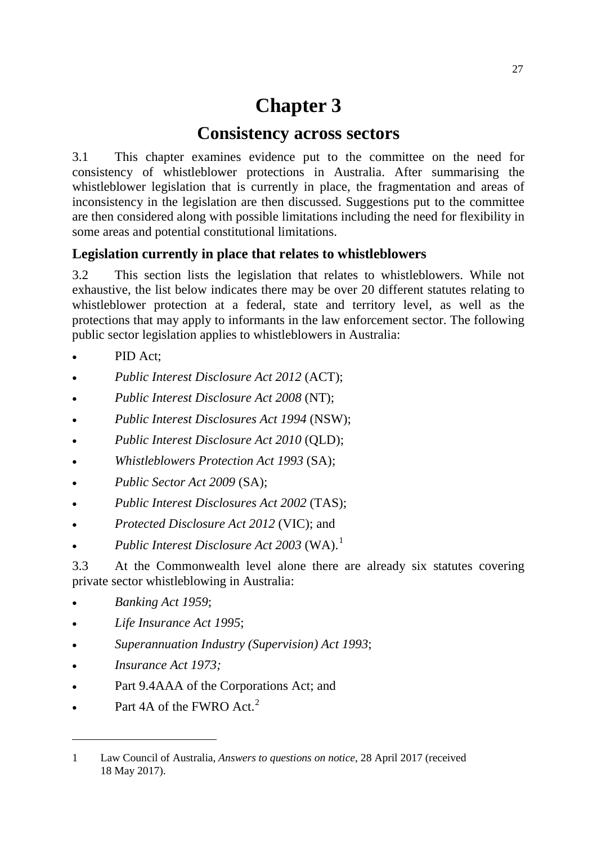# **Chapter 3**

# **Consistency across sectors**

3.1 This chapter examines evidence put to the committee on the need for consistency of whistleblower protections in Australia. After summarising the whistleblower legislation that is currently in place, the fragmentation and areas of inconsistency in the legislation are then discussed. Suggestions put to the committee are then considered along with possible limitations including the need for flexibility in some areas and potential constitutional limitations.

# **Legislation currently in place that relates to whistleblowers**

3.2 This section lists the legislation that relates to whistleblowers. While not exhaustive, the list below indicates there may be over 20 different statutes relating to whistleblower protection at a federal, state and territory level, as well as the protections that may apply to informants in the law enforcement sector. The following public sector legislation applies to whistleblowers in Australia:

- PID Act;
- *Public Interest Disclosure Act 2012* (ACT);
- *Public Interest Disclosure Act 2008* (NT);
- *Public Interest Disclosures Act 1994* (NSW);
- *Public Interest Disclosure Act 2010* (QLD);
- *Whistleblowers Protection Act 1993* (SA);
- *Public Sector Act 2009* (SA);
- *Public Interest Disclosures Act 2002* (TAS);
- *Protected Disclosure Act 2012* (VIC); and
- *Public Interest Disclosure Act 2003* (WA).[1](#page-0-0)

3.3 At the Commonwealth level alone there are already six statutes covering private sector whistleblowing in Australia:

- *Banking Act 1959*;
- <span id="page-0-1"></span>• *Life Insurance Act 1995*;
- *Superannuation Industry (Supervision) Act 1993*;
- *Insurance Act 1973;*

- Part 9.4AAA of the Corporations Act; and
- Part 4A of the FWRO Act.<sup>[2](#page-0-1)</sup>

<span id="page-0-0"></span><sup>1</sup> Law Council of Australia, *Answers to questions on notice*, 28 April 2017 (received 18 May 2017).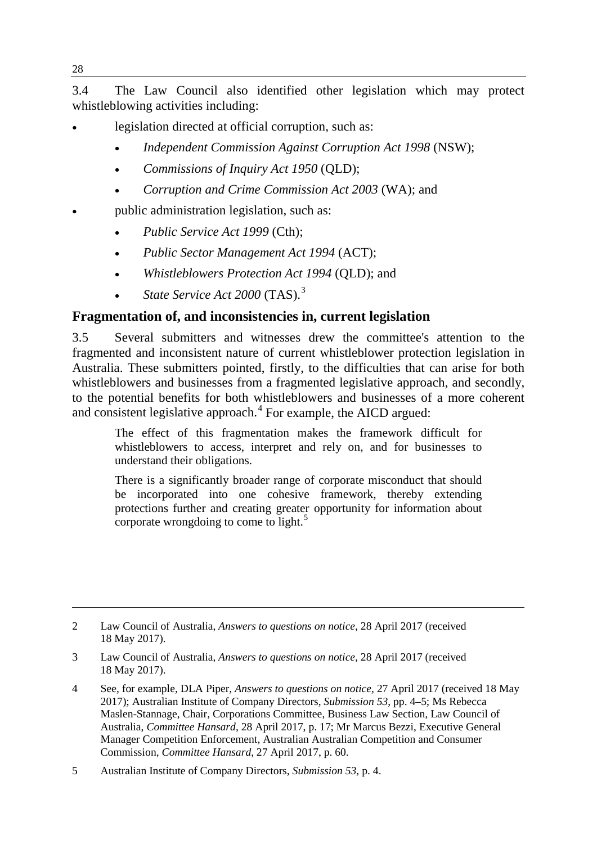3.4 The Law Council also identified other legislation which may protect whistleblowing activities including:

- legislation directed at official corruption, such as:
	- *Independent Commission Against Corruption Act 1998* (NSW);
	- *Commissions of Inquiry Act 1950* (QLD);
	- *Corruption and Crime Commission Act 2003* (WA); and
- public administration legislation, such as:
	- *Public Service Act 1999* (Cth);
	- *Public Sector Management Act 1994* (ACT);
	- *Whistleblowers Protection Act 1994* (QLD); and
	- *State Service Act 2000* (TAS).[3](#page-1-0)

# **Fragmentation of, and inconsistencies in, current legislation**

3.5 Several submitters and witnesses drew the committee's attention to the fragmented and inconsistent nature of current whistleblower protection legislation in Australia. These submitters pointed, firstly, to the difficulties that can arise for both whistleblowers and businesses from a fragmented legislative approach, and secondly, to the potential benefits for both whistleblowers and businesses of a more coherent and consistent legislative approach. $4$  For example, the AICD argued:

The effect of this fragmentation makes the framework difficult for whistleblowers to access, interpret and rely on, and for businesses to understand their obligations.

There is a significantly broader range of corporate misconduct that should be incorporated into one cohesive framework, thereby extending protections further and creating greater opportunity for information about corporate wrongdoing to come to light.<sup>[5](#page-1-2)</sup>

- <span id="page-1-0"></span>3 Law Council of Australia, *Answers to questions on notice*, 28 April 2017 (received 18 May 2017).
- <span id="page-1-1"></span>4 See, for example, DLA Piper, *Answers to questions on notice,* 27 April 2017 (received 18 May 2017); Australian Institute of Company Directors, *Submission 53*, pp. 4–5; Ms Rebecca Maslen-Stannage, Chair, Corporations Committee, Business Law Section, Law Council of Australia, *Committee Hansard*, 28 April 2017, p. 17; Mr Marcus Bezzi, Executive General Manager Competition Enforcement, Australian Australian Competition and Consumer Commission, *Committee Hansard*, 27 April 2017, p. 60.
- <span id="page-1-2"></span>5 Australian Institute of Company Directors, *Submission 53,* p. 4.

<sup>2</sup> Law Council of Australia, *Answers to questions on notice*, 28 April 2017 (received 18 May 2017).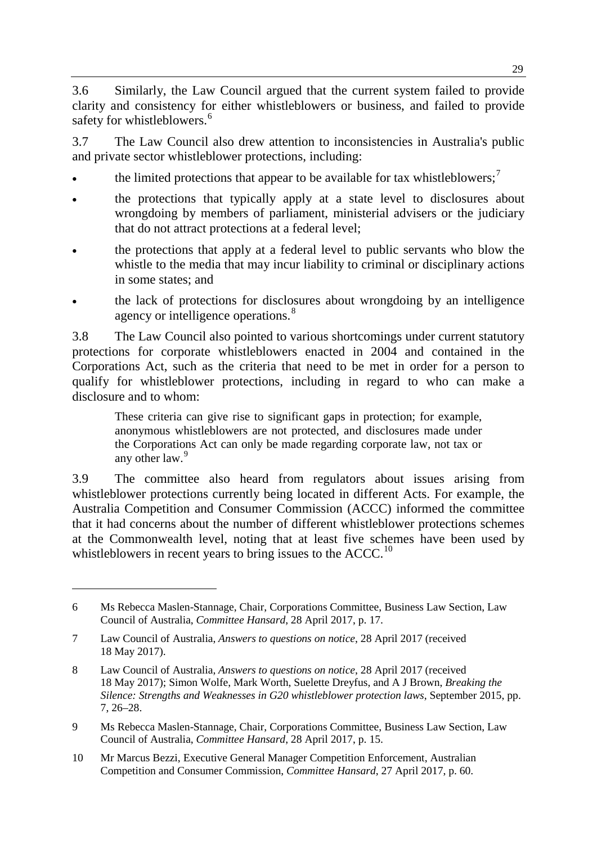3.6 Similarly, the Law Council argued that the current system failed to provide clarity and consistency for either whistleblowers or business, and failed to provide safety for whistleblowers.<sup>[6](#page-2-0)</sup>

3.7 The Law Council also drew attention to inconsistencies in Australia's public and private sector whistleblower protections, including:

- the limited protections that appear to be available for tax whistleblowers;<sup>[7](#page-2-1)</sup>
- the protections that typically apply at a state level to disclosures about wrongdoing by members of parliament, ministerial advisers or the judiciary that do not attract protections at a federal level;
- the protections that apply at a federal level to public servants who blow the whistle to the media that may incur liability to criminal or disciplinary actions in some states; and
- the lack of protections for disclosures about wrongdoing by an intelligence agency or intelligence operations.<sup>[8](#page-2-2)</sup>

3.8 The Law Council also pointed to various shortcomings under current statutory protections for corporate whistleblowers enacted in 2004 and contained in the Corporations Act, such as the criteria that need to be met in order for a person to qualify for whistleblower protections, including in regard to who can make a disclosure and to whom:

These criteria can give rise to significant gaps in protection; for example, anonymous whistleblowers are not protected, and disclosures made under the Corporations Act can only be made regarding corporate law, not tax or any other law.<sup>[9](#page-2-3)</sup>

3.9 The committee also heard from regulators about issues arising from whistleblower protections currently being located in different Acts. For example, the Australia Competition and Consumer Commission (ACCC) informed the committee that it had concerns about the number of different whistleblower protections schemes at the Commonwealth level, noting that at least five schemes have been used by whistleblowers in recent years to bring issues to the  $ACCC<sup>10</sup>$  $ACCC<sup>10</sup>$  $ACCC<sup>10</sup>$ 

-

<span id="page-2-3"></span>9 Ms Rebecca Maslen-Stannage, Chair, Corporations Committee, Business Law Section, Law Council of Australia, *Committee Hansard*, 28 April 2017, p. 15.

<span id="page-2-0"></span><sup>6</sup> Ms Rebecca Maslen-Stannage, Chair, Corporations Committee, Business Law Section, Law Council of Australia, *Committee Hansard*, 28 April 2017, p. 17.

<span id="page-2-1"></span><sup>7</sup> Law Council of Australia, *Answers to questions on notice*, 28 April 2017 (received 18 May 2017).

<span id="page-2-2"></span><sup>8</sup> Law Council of Australia, *Answers to questions on notice*, 28 April 2017 (received 18 May 2017); Simon Wolfe, Mark Worth, Suelette Dreyfus, and A J Brown, *Breaking the Silence: Strengths and Weaknesses in G20 whistleblower protection laws*, September 2015, pp. 7, 26–28.

<span id="page-2-4"></span><sup>10</sup> Mr Marcus Bezzi, Executive General Manager Competition Enforcement, Australian Competition and Consumer Commission, *Committee Hansard*, 27 April 2017, p. 60.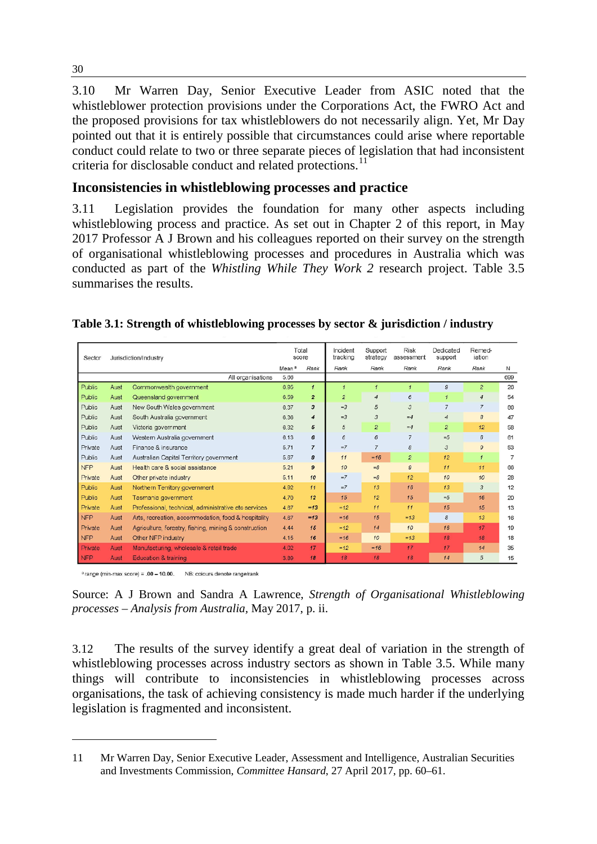3.10 Mr Warren Day, Senior Executive Leader from ASIC noted that the whistleblower protection provisions under the Corporations Act, the FWRO Act and the proposed provisions for tax whistleblowers do not necessarily align. Yet, Mr Day pointed out that it is entirely possible that circumstances could arise where reportable conduct could relate to two or three separate pieces of legislation that had inconsistent criteria for disclosable conduct and related protections. [11](#page-3-0)

# **Inconsistencies in whistleblowing processes and practice**

3.11 Legislation provides the foundation for many other aspects including whistleblowing process and practice. As set out in Chapter 2 of this report, in May 2017 Professor A J Brown and his colleagues reported on their survey on the strength of organisational whistleblowing processes and procedures in Australia which was conducted as part of the *Whistling While They Work 2* research project. Table 3.5 summarises the results.

| Table 3.1: Strength of whistleblowing processes by sector & jurisdiction / industry |  |  |
|-------------------------------------------------------------------------------------|--|--|
|                                                                                     |  |  |
|                                                                                     |  |  |
|                                                                                     |  |  |

| Jurisdiction/Industry<br>Sector |      | Total<br>score                                        |                   | Incident<br>tracking | Support<br>strategy | Risk<br>assessment | Dedicated<br>support | Remed-<br>iation |                  |     |
|---------------------------------|------|-------------------------------------------------------|-------------------|----------------------|---------------------|--------------------|----------------------|------------------|------------------|-----|
|                                 |      |                                                       | Mean <sup>a</sup> | Rank                 | Rank                | Rank               | Rank                 | Rank             | Rank             | И   |
|                                 |      | All organisations                                     | 5.66              |                      |                     |                    |                      |                  |                  | 699 |
| Public                          | Aust | Commonwealth government                               | 6.95              | $\mathbf{1}$         | $\mathbf{1}$        |                    | $\mathcal{I}$        | 9                | $\overline{c}$   | 26  |
| Public                          | Aust | Queensland government                                 | 6.59              | $\overline{2}$       | $\overline{c}$      | $\overline{4}$     | 6                    | $\mathbf{I}$     | 4                | 54  |
| Public                          | Aust | New South Wales government                            | 6.37              | $\overline{3}$       | $=3$                | 5                  | 3                    | $\overline{7}$   | $\overline{7}$   | 86  |
| Public                          | Aust | South Australia government                            | 6.36              | 4                    | $=3$                | 3                  | $=4$                 | 4                | $\mathcal{B}$    | 47  |
| Public                          | Aust | Victoria government                                   | 6.32              | 5                    | 5                   | $\overline{2}$     | $=4$                 | $\overline{2}$   | 12               | 58  |
| Public                          | Aust | Western Australia government                          | 6.13              | 6                    | 6                   | 6                  | $\overline{7}$       | $=$ 5            | $\delta$         | 61  |
| Private                         | Aust | Finance & insurance                                   | 5.71              | $\overline{7}$       | $=7$                | $\overline{7}$     | 8                    | 3                | $\overline{9}$   | 53  |
| Public                          | Aust | Australian Capital Territory government               | 5.67              | 8                    | 11                  | $=16$              | $\overline{c}$       | 12               | $\mathcal{I}$    | 7   |
| <b>NFP</b>                      | Aust | Health care & social assistance                       | 5.21              | $\mathbf{9}$         | 10                  | $=8$               | $\mathcal{Q}$        | 11               | 11               | 66  |
| Private                         | Aust | Other private industry                                | 5.11              | 10                   | $=7$                | $=8$               | 12                   | 10 <sup>10</sup> | 10 <sup>10</sup> | 28  |
| Public                          | Aust | Northern Territory government                         | 4.92              | 11                   | $=7$                | 13                 | 16                   | 13               | 3                | 12  |
| Public                          | Aust | Tasmania government                                   | 4.70              | 12                   | 15                  | 12                 | 15                   | $=5$             | 16               | 20  |
| Private                         | Aust | Professional, technical, administrative etc services  | 4.67              | $=13$                | $=12$               | 11                 | 11                   | 15               | 15               | 13  |
| <b>NFP</b>                      | Aust | Arts, recreation, accommodation, food & hospitality   | 4.67              | $=13$                | $=16$               | 15                 | $=13$                | 8                | 13               | 16  |
| Private                         | Aust | Agriculture, forestry, fishing, mining & construction | 4.44              | 15                   | $=12$               | 14                 | 10                   | 16               | 17               | 19  |
| <b>NFP</b>                      | Aust | Other NFP industry                                    | 4.15              | 16                   | $=16$               | 10                 | $=13$                | 18               | 18               | 18  |
| Private                         | Aust | Manufacturing, wholesale & retail trade               | 4.02              | 17                   | $=12$               | $=16$              | 17                   | 17               | 14               | 35  |
| <b>NFP</b>                      | Aust | <b>Education &amp; training</b>                       | 3.89              | 18                   | 18                  | 18                 | 18                   | 14               | 5                | 15  |

<sup>a</sup> range (min-max score) = .00 - 10.00. NB: colours denote range/rank

-

Source: A J Brown and Sandra A Lawrence, *Strength of Organisational Whistleblowing processes – Analysis from Australia,* May 2017, p. ii.

3.12 The results of the survey identify a great deal of variation in the strength of whistleblowing processes across industry sectors as shown in Table 3.5. While many things will contribute to inconsistencies in whistleblowing processes across organisations, the task of achieving consistency is made much harder if the underlying legislation is fragmented and inconsistent.

<span id="page-3-0"></span><sup>11</sup> Mr Warren Day, Senior Executive Leader, Assessment and Intelligence, Australian Securities and Investments Commission, *Committee Hansard*, 27 April 2017, pp. 60–61.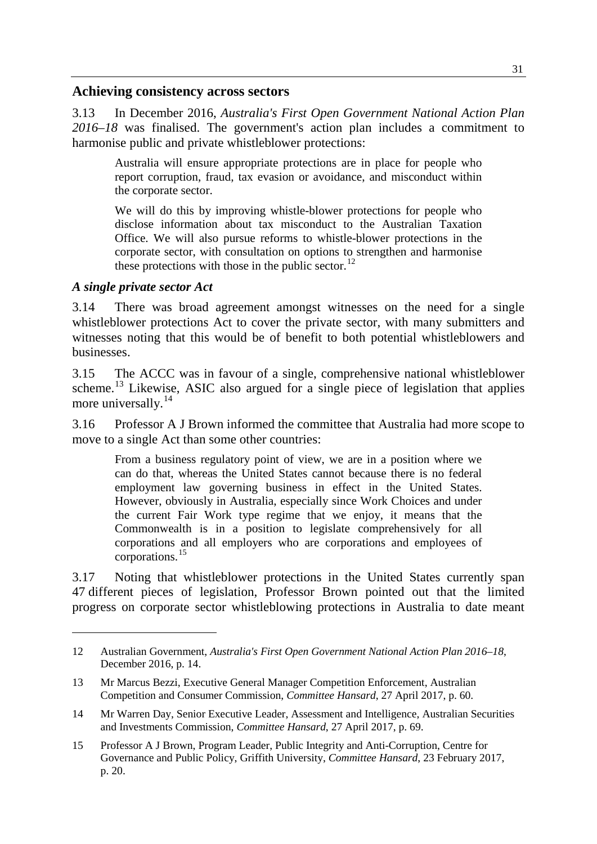#### **Achieving consistency across sectors**

3.13 In December 2016, *Australia's First Open Government National Action Plan 2016–18* was finalised. The government's action plan includes a commitment to harmonise public and private whistleblower protections:

Australia will ensure appropriate protections are in place for people who report corruption, fraud, tax evasion or avoidance, and misconduct within the corporate sector.

We will do this by improving whistle-blower protections for people who disclose information about tax misconduct to the Australian Taxation Office. We will also pursue reforms to whistle-blower protections in the corporate sector, with consultation on options to strengthen and harmonise these protections with those in the public sector.<sup>[12](#page-4-0)</sup>

#### *A single private sector Act*

-

3.14 There was broad agreement amongst witnesses on the need for a single whistleblower protections Act to cover the private sector, with many submitters and witnesses noting that this would be of benefit to both potential whistleblowers and businesses.

3.15 The ACCC was in favour of a single, comprehensive national whistleblower scheme.<sup>[13](#page-4-1)</sup> Likewise, ASIC also argued for a single piece of legislation that applies more universally.<sup>[14](#page-4-2)</sup>

3.16 Professor A J Brown informed the committee that Australia had more scope to move to a single Act than some other countries:

From a business regulatory point of view, we are in a position where we can do that, whereas the United States cannot because there is no federal employment law governing business in effect in the United States. However, obviously in Australia, especially since Work Choices and under the current Fair Work type regime that we enjoy, it means that the Commonwealth is in a position to legislate comprehensively for all corporations and all employers who are corporations and employees of corporations.[15](#page-4-3)

3.17 Noting that whistleblower protections in the United States currently span 47 different pieces of legislation, Professor Brown pointed out that the limited progress on corporate sector whistleblowing protections in Australia to date meant

<span id="page-4-0"></span><sup>12</sup> Australian Government, *Australia's First Open Government National Action Plan 2016–18*, December 2016, p. 14.

<span id="page-4-1"></span><sup>13</sup> Mr Marcus Bezzi, Executive General Manager Competition Enforcement, Australian Competition and Consumer Commission, *Committee Hansard*, 27 April 2017, p. 60.

<span id="page-4-2"></span><sup>14</sup> Mr Warren Day, Senior Executive Leader, Assessment and Intelligence, Australian Securities and Investments Commission, *Committee Hansard*, 27 April 2017, p. 69.

<span id="page-4-3"></span><sup>15</sup> Professor A J Brown, Program Leader, Public Integrity and Anti-Corruption, Centre for Governance and Public Policy, Griffith University, *Committee Hansard*, 23 February 2017, p. 20.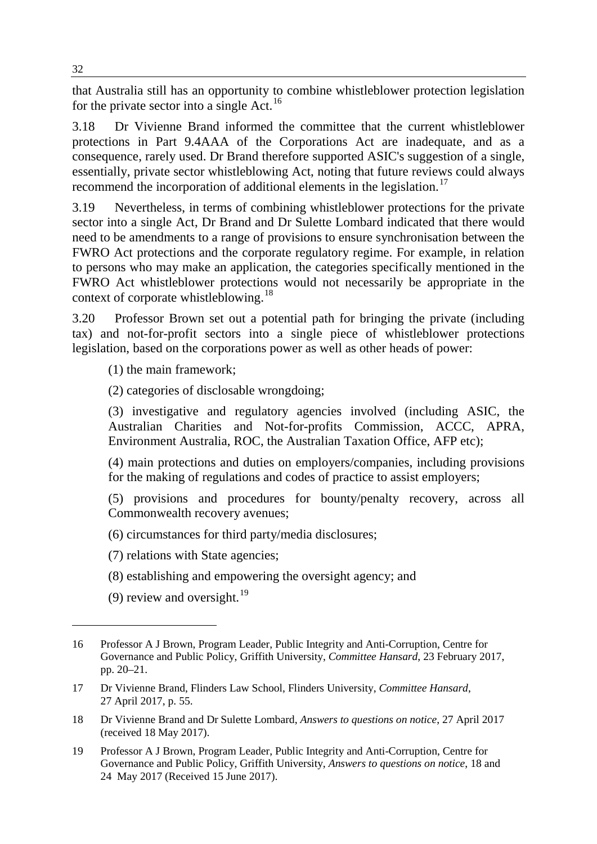that Australia still has an opportunity to combine whistleblower protection legislation for the private sector into a single  $Act.$ <sup>[16](#page-5-0)</sup>

3.18 Dr Vivienne Brand informed the committee that the current whistleblower protections in Part 9.4AAA of the Corporations Act are inadequate, and as a consequence, rarely used. Dr Brand therefore supported ASIC's suggestion of a single, essentially, private sector whistleblowing Act, noting that future reviews could always recommend the incorporation of additional elements in the legislation.<sup>[17](#page-5-1)</sup>

3.19 Nevertheless, in terms of combining whistleblower protections for the private sector into a single Act, Dr Brand and Dr Sulette Lombard indicated that there would need to be amendments to a range of provisions to ensure synchronisation between the FWRO Act protections and the corporate regulatory regime. For example, in relation to persons who may make an application, the categories specifically mentioned in the FWRO Act whistleblower protections would not necessarily be appropriate in the context of corporate whistleblowing.<sup>[18](#page-5-2)</sup>

3.20 Professor Brown set out a potential path for bringing the private (including tax) and not-for-profit sectors into a single piece of whistleblower protections legislation, based on the corporations power as well as other heads of power:

(1) the main framework;

(2) categories of disclosable wrongdoing;

(3) investigative and regulatory agencies involved (including ASIC, the Australian Charities and Not-for-profits Commission, ACCC, APRA, Environment Australia, ROC, the Australian Taxation Office, AFP etc);

(4) main protections and duties on employers/companies, including provisions for the making of regulations and codes of practice to assist employers;

(5) provisions and procedures for bounty/penalty recovery, across all Commonwealth recovery avenues;

(6) circumstances for third party/media disclosures;

(7) relations with State agencies;

- (8) establishing and empowering the oversight agency; and
- (9) review and oversight.<sup>[19](#page-5-3)</sup>

<span id="page-5-0"></span><sup>16</sup> Professor A J Brown, Program Leader, Public Integrity and Anti-Corruption, Centre for Governance and Public Policy, Griffith University, *Committee Hansard*, 23 February 2017, pp. 20–21.

<span id="page-5-1"></span><sup>17</sup> Dr Vivienne Brand, Flinders Law School, Flinders University, *Committee Hansard*, 27 April 2017, p. 55.

<span id="page-5-2"></span><sup>18</sup> Dr Vivienne Brand and Dr Sulette Lombard, *Answers to questions on notice*, 27 April 2017 (received 18 May 2017).

<span id="page-5-3"></span><sup>19</sup> Professor A J Brown, Program Leader, Public Integrity and Anti-Corruption, Centre for Governance and Public Policy, Griffith University, *Answers to questions on notice*, 18 and 24 May 2017 (Received 15 June 2017).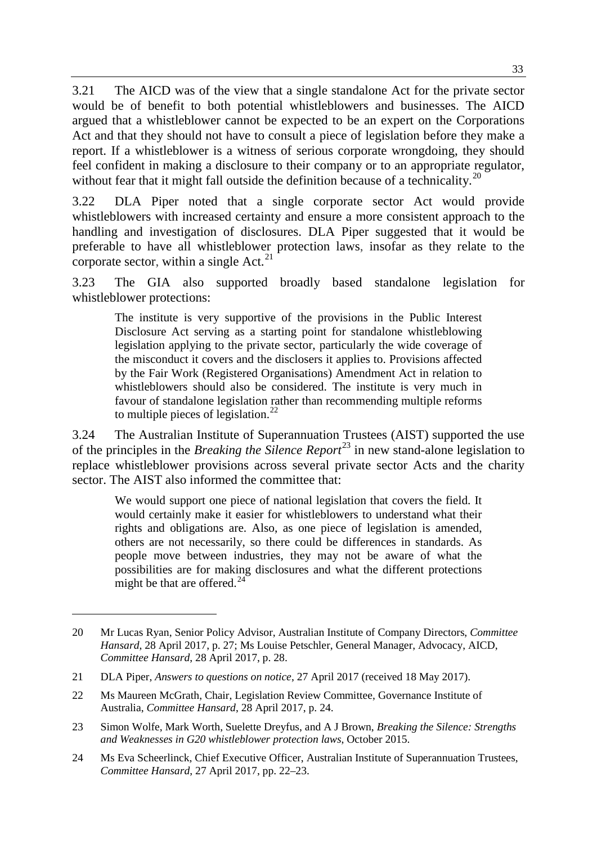3.21 The AICD was of the view that a single standalone Act for the private sector would be of benefit to both potential whistleblowers and businesses. The AICD argued that a whistleblower cannot be expected to be an expert on the Corporations Act and that they should not have to consult a piece of legislation before they make a report. If a whistleblower is a witness of serious corporate wrongdoing, they should feel confident in making a disclosure to their company or to an appropriate regulator, without fear that it might fall outside the definition because of a technicality.<sup>[20](#page-6-0)</sup>

3.22 DLA Piper noted that a single corporate sector Act would provide whistleblowers with increased certainty and ensure a more consistent approach to the handling and investigation of disclosures. DLA Piper suggested that it would be preferable to have all whistleblower protection laws, insofar as they relate to the corporate sector, within a single Act. $21$ 

3.23 The GIA also supported broadly based standalone legislation for whistleblower protections:

The institute is very supportive of the provisions in the Public Interest Disclosure Act serving as a starting point for standalone whistleblowing legislation applying to the private sector, particularly the wide coverage of the misconduct it covers and the disclosers it applies to. Provisions affected by the Fair Work (Registered Organisations) Amendment Act in relation to whistleblowers should also be considered. The institute is very much in favour of standalone legislation rather than recommending multiple reforms to multiple pieces of legislation. $^{22}$  $^{22}$  $^{22}$ 

3.24 The Australian Institute of Superannuation Trustees (AIST) supported the use of the principles in the *Breaking the Silence Report*[23](#page-6-3) in new stand-alone legislation to replace whistleblower provisions across several private sector Acts and the charity sector. The AIST also informed the committee that:

We would support one piece of national legislation that covers the field. It would certainly make it easier for whistleblowers to understand what their rights and obligations are. Also, as one piece of legislation is amended, others are not necessarily, so there could be differences in standards. As people move between industries, they may not be aware of what the possibilities are for making disclosures and what the different protections might be that are offered. $^{24}$  $^{24}$  $^{24}$ 

<span id="page-6-0"></span><sup>20</sup> Mr Lucas Ryan, Senior Policy Advisor, Australian Institute of Company Directors, *Committee Hansard*, 28 April 2017, p. 27; Ms Louise Petschler, General Manager, Advocacy, AICD, *Committee Hansard*, 28 April 2017, p. 28.

<span id="page-6-1"></span><sup>21</sup> DLA Piper, *Answers to questions on notice*, 27 April 2017 (received 18 May 2017).

<span id="page-6-2"></span><sup>22</sup> Ms Maureen McGrath, Chair, Legislation Review Committee, Governance Institute of Australia, *Committee Hansard*, 28 April 2017, p. 24.

<span id="page-6-3"></span><sup>23</sup> Simon Wolfe, Mark Worth, Suelette Dreyfus, and A J Brown, *Breaking the Silence: Strengths and Weaknesses in G20 whistleblower protection laws*, October 2015.

<span id="page-6-4"></span><sup>24</sup> Ms Eva Scheerlinck, Chief Executive Officer, Australian Institute of Superannuation Trustees, *Committee Hansard*, 27 April 2017, pp. 22–23.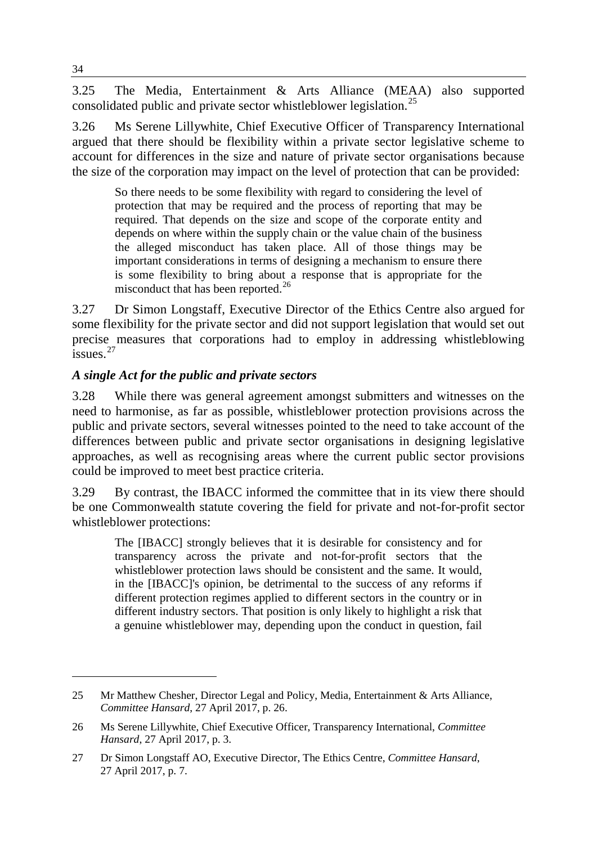3.25 The Media, Entertainment & Arts Alliance (MEAA) also supported consolidated public and private sector whistleblower legislation.<sup>[25](#page-7-0)</sup>

3.26 Ms Serene Lillywhite, Chief Executive Officer of Transparency International argued that there should be flexibility within a private sector legislative scheme to account for differences in the size and nature of private sector organisations because the size of the corporation may impact on the level of protection that can be provided:

So there needs to be some flexibility with regard to considering the level of protection that may be required and the process of reporting that may be required. That depends on the size and scope of the corporate entity and depends on where within the supply chain or the value chain of the business the alleged misconduct has taken place. All of those things may be important considerations in terms of designing a mechanism to ensure there is some flexibility to bring about a response that is appropriate for the misconduct that has been reported.<sup>[26](#page-7-1)</sup>

3.27 Dr Simon Longstaff, Executive Director of the Ethics Centre also argued for some flexibility for the private sector and did not support legislation that would set out precise measures that corporations had to employ in addressing whistleblowing  $\frac{1}{2}$ issues.<sup>[27](#page-7-2)</sup>

# *A single Act for the public and private sectors*

3.28 While there was general agreement amongst submitters and witnesses on the need to harmonise, as far as possible, whistleblower protection provisions across the public and private sectors, several witnesses pointed to the need to take account of the differences between public and private sector organisations in designing legislative approaches, as well as recognising areas where the current public sector provisions could be improved to meet best practice criteria.

3.29 By contrast, the IBACC informed the committee that in its view there should be one Commonwealth statute covering the field for private and not-for-profit sector whistleblower protections:

The [IBACC] strongly believes that it is desirable for consistency and for transparency across the private and not-for-profit sectors that the whistleblower protection laws should be consistent and the same. It would, in the [IBACC]'s opinion, be detrimental to the success of any reforms if different protection regimes applied to different sectors in the country or in different industry sectors. That position is only likely to highlight a risk that a genuine whistleblower may, depending upon the conduct in question, fail

<span id="page-7-0"></span><sup>25</sup> Mr Matthew Chesher, Director Legal and Policy, Media, Entertainment & Arts Alliance, *Committee Hansard*, 27 April 2017, p. 26.

<span id="page-7-1"></span><sup>26</sup> Ms Serene Lillywhite, Chief Executive Officer, Transparency International, *Committee Hansard*, 27 April 2017, p. 3.

<span id="page-7-2"></span><sup>27</sup> Dr Simon Longstaff AO, Executive Director, The Ethics Centre, *Committee Hansard*, 27 April 2017, p. 7.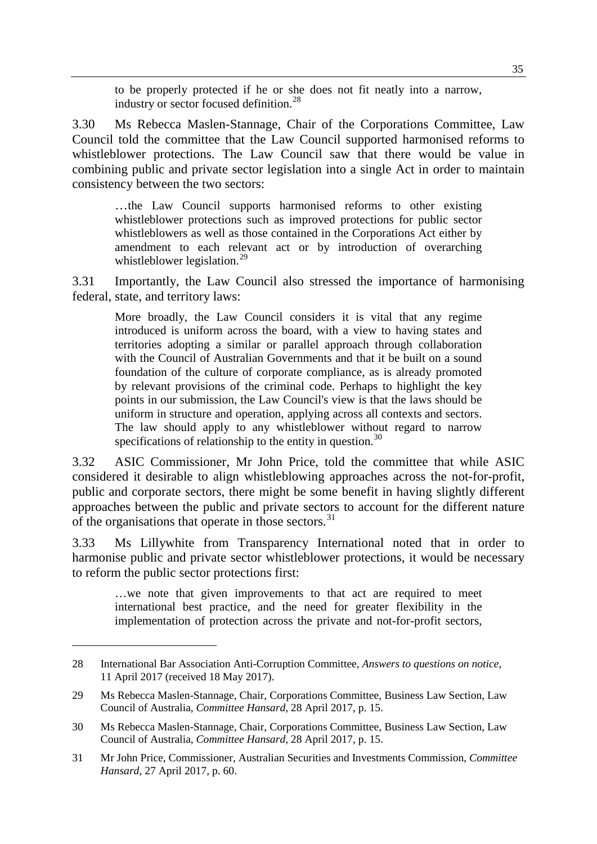to be properly protected if he or she does not fit neatly into a narrow, industry or sector focused definition.[28](#page-8-0)

3.30 Ms Rebecca Maslen-Stannage, Chair of the Corporations Committee, Law Council told the committee that the Law Council supported harmonised reforms to whistleblower protections. The Law Council saw that there would be value in combining public and private sector legislation into a single Act in order to maintain consistency between the two sectors:

…the Law Council supports harmonised reforms to other existing whistleblower protections such as improved protections for public sector whistleblowers as well as those contained in the Corporations Act either by amendment to each relevant act or by introduction of overarching whistleblower legislation.<sup>[29](#page-8-1)</sup>

3.31 Importantly, the Law Council also stressed the importance of harmonising federal, state, and territory laws:

More broadly, the Law Council considers it is vital that any regime introduced is uniform across the board, with a view to having states and territories adopting a similar or parallel approach through collaboration with the Council of Australian Governments and that it be built on a sound foundation of the culture of corporate compliance, as is already promoted by relevant provisions of the criminal code. Perhaps to highlight the key points in our submission, the Law Council's view is that the laws should be uniform in structure and operation, applying across all contexts and sectors. The law should apply to any whistleblower without regard to narrow specifications of relationship to the entity in question. $30$ 

3.32 ASIC Commissioner, Mr John Price, told the committee that while ASIC considered it desirable to align whistleblowing approaches across the not-for-profit, public and corporate sectors, there might be some benefit in having slightly different approaches between the public and private sectors to account for the different nature of the organisations that operate in those sectors.<sup>[31](#page-8-3)</sup>

3.33 Ms Lillywhite from Transparency International noted that in order to harmonise public and private sector whistleblower protections, it would be necessary to reform the public sector protections first:

…we note that given improvements to that act are required to meet international best practice, and the need for greater flexibility in the implementation of protection across the private and not-for-profit sectors,

<span id="page-8-0"></span><sup>28</sup> International Bar Association Anti-Corruption Committee, *Answers to questions on notice*, 11 April 2017 (received 18 May 2017).

<span id="page-8-1"></span><sup>29</sup> Ms Rebecca Maslen-Stannage, Chair, Corporations Committee, Business Law Section, Law Council of Australia, *Committee Hansard,* 28 April 2017, p. 15.

<span id="page-8-2"></span><sup>30</sup> Ms Rebecca Maslen-Stannage, Chair, Corporations Committee, Business Law Section, Law Council of Australia, *Committee Hansard*, 28 April 2017, p. 15.

<span id="page-8-3"></span><sup>31</sup> Mr John Price, Commissioner, Australian Securities and Investments Commission, *Committee Hansard*, 27 April 2017, p. 60.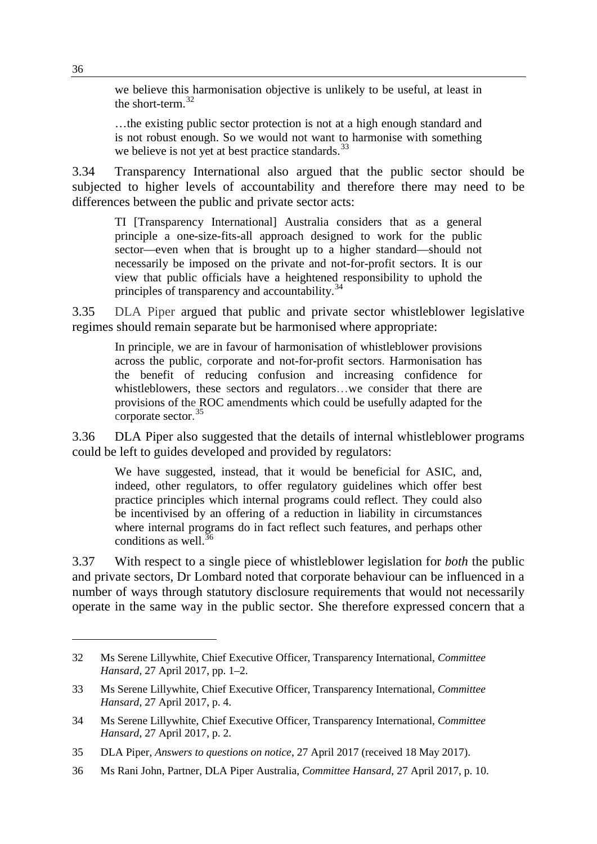we believe this harmonisation objective is unlikely to be useful, at least in the short-term. $32$ 

…the existing public sector protection is not at a high enough standard and is not robust enough. So we would not want to harmonise with something we believe is not yet at best practice standards.  $33$ 

3.34 Transparency International also argued that the public sector should be subjected to higher levels of accountability and therefore there may need to be differences between the public and private sector acts:

TI [Transparency International] Australia considers that as a general principle a one-size-fits-all approach designed to work for the public sector—even when that is brought up to a higher standard—should not necessarily be imposed on the private and not-for-profit sectors. It is our view that public officials have a heightened responsibility to uphold the principles of transparency and accountability.<sup>[34](#page-9-2)</sup>

3.35 DLA Piper argued that public and private sector whistleblower legislative regimes should remain separate but be harmonised where appropriate:

In principle, we are in favour of harmonisation of whistleblower provisions across the public, corporate and not-for-profit sectors. Harmonisation has the benefit of reducing confusion and increasing confidence for whistleblowers, these sectors and regulators…we consider that there are provisions of the ROC amendments which could be usefully adapted for the corporate sector.<sup>[35](#page-9-3)</sup>

3.36 DLA Piper also suggested that the details of internal whistleblower programs could be left to guides developed and provided by regulators:

We have suggested, instead, that it would be beneficial for ASIC, and, indeed, other regulators, to offer regulatory guidelines which offer best practice principles which internal programs could reflect. They could also be incentivised by an offering of a reduction in liability in circumstances where internal programs do in fact reflect such features, and perhaps other conditions as well  $36$ 

3.37 With respect to a single piece of whistleblower legislation for *both* the public and private sectors, Dr Lombard noted that corporate behaviour can be influenced in a number of ways through statutory disclosure requirements that would not necessarily operate in the same way in the public sector. She therefore expressed concern that a

<span id="page-9-0"></span><sup>32</sup> Ms Serene Lillywhite, Chief Executive Officer, Transparency International, *Committee Hansard*, 27 April 2017, pp. 1–2.

<span id="page-9-1"></span><sup>33</sup> Ms Serene Lillywhite, Chief Executive Officer, Transparency International, *Committee Hansard*, 27 April 2017, p. 4.

<span id="page-9-2"></span><sup>34</sup> Ms Serene Lillywhite, Chief Executive Officer, Transparency International, *Committee Hansard*, 27 April 2017, p. 2.

<span id="page-9-3"></span><sup>35</sup> DLA Piper, *Answers to questions on notice*, 27 April 2017 (received 18 May 2017).

<span id="page-9-4"></span><sup>36</sup> Ms Rani John, Partner, DLA Piper Australia, *Committee Hansard*, 27 April 2017, p. 10.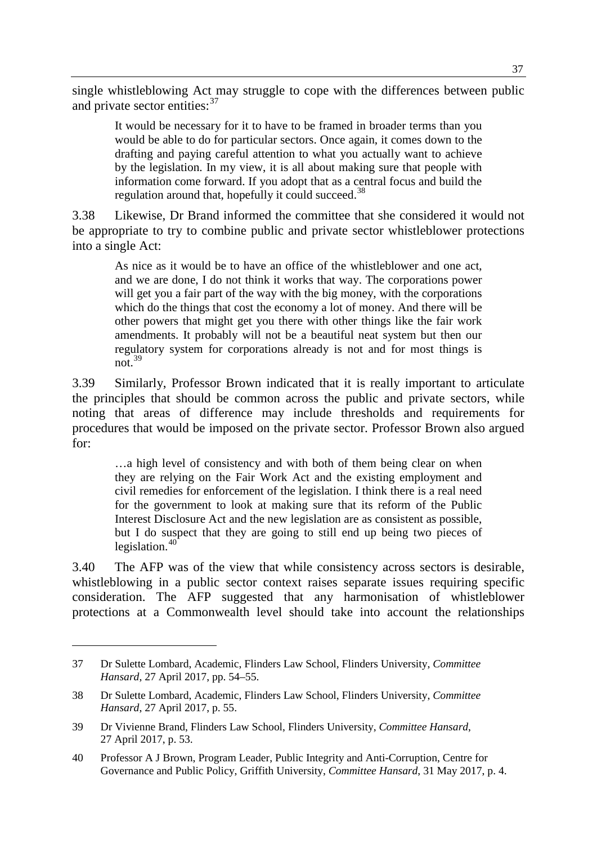single whistleblowing Act may struggle to cope with the differences between public and private sector entities:  $37$ 

It would be necessary for it to have to be framed in broader terms than you would be able to do for particular sectors. Once again, it comes down to the drafting and paying careful attention to what you actually want to achieve by the legislation. In my view, it is all about making sure that people with information come forward. If you adopt that as a central focus and build the regulation around that, hopefully it could succeed.<sup>[38](#page-10-1)</sup>

3.38 Likewise, Dr Brand informed the committee that she considered it would not be appropriate to try to combine public and private sector whistleblower protections into a single Act:

As nice as it would be to have an office of the whistleblower and one act, and we are done, I do not think it works that way. The corporations power will get you a fair part of the way with the big money, with the corporations which do the things that cost the economy a lot of money. And there will be other powers that might get you there with other things like the fair work amendments. It probably will not be a beautiful neat system but then our regulatory system for corporations already is not and for most things is not. $39$ 

3.39 Similarly, Professor Brown indicated that it is really important to articulate the principles that should be common across the public and private sectors, while noting that areas of difference may include thresholds and requirements for procedures that would be imposed on the private sector. Professor Brown also argued for:

…a high level of consistency and with both of them being clear on when they are relying on the Fair Work Act and the existing employment and civil remedies for enforcement of the legislation. I think there is a real need for the government to look at making sure that its reform of the Public Interest Disclosure Act and the new legislation are as consistent as possible, but I do suspect that they are going to still end up being two pieces of legislation. $40^4$  $40^4$ 

3.40 The AFP was of the view that while consistency across sectors is desirable, whistleblowing in a public sector context raises separate issues requiring specific consideration. The AFP suggested that any harmonisation of whistleblower protections at a Commonwealth level should take into account the relationships

<span id="page-10-0"></span><sup>37</sup> Dr Sulette Lombard, Academic, Flinders Law School, Flinders University, *Committee Hansard*, 27 April 2017, pp. 54–55.

<span id="page-10-1"></span><sup>38</sup> Dr Sulette Lombard, Academic, Flinders Law School, Flinders University, *Committee Hansard*, 27 April 2017, p. 55.

<span id="page-10-2"></span><sup>39</sup> Dr Vivienne Brand, Flinders Law School, Flinders University, *Committee Hansard*, 27 April 2017, p. 53.

<span id="page-10-3"></span><sup>40</sup> Professor A J Brown, Program Leader, Public Integrity and Anti-Corruption, Centre for Governance and Public Policy, Griffith University, *Committee Hansard*, 31 May 2017, p. 4.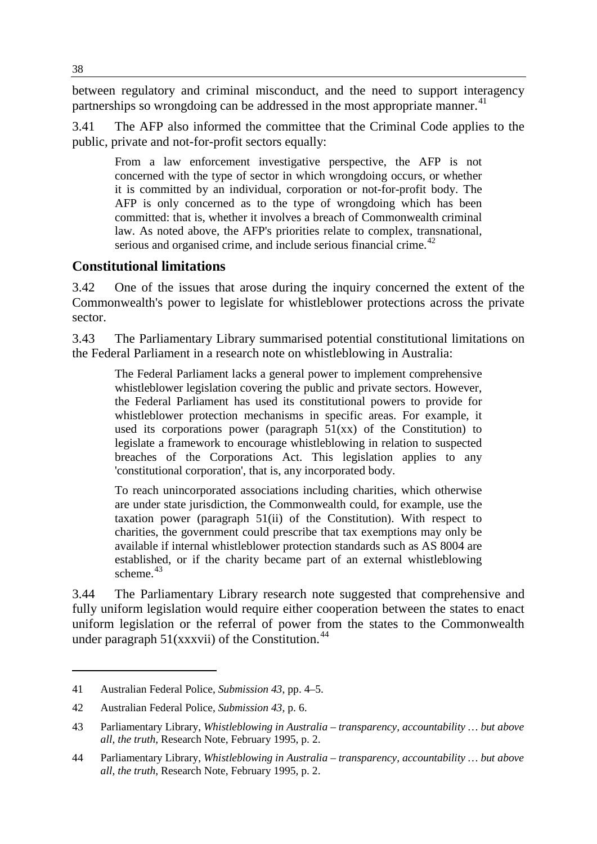between regulatory and criminal misconduct, and the need to support interagency partnerships so wrongdoing can be addressed in the most appropriate manner.<sup>[41](#page-11-0)</sup>

3.41 The AFP also informed the committee that the Criminal Code applies to the public, private and not-for-profit sectors equally:

From a law enforcement investigative perspective, the AFP is not concerned with the type of sector in which wrongdoing occurs, or whether it is committed by an individual, corporation or not-for-profit body. The AFP is only concerned as to the type of wrongdoing which has been committed: that is, whether it involves a breach of Commonwealth criminal law. As noted above, the AFP's priorities relate to complex, transnational, serious and organised crime, and include serious financial crime.<sup>[42](#page-11-1)</sup>

# **Constitutional limitations**

3.42 One of the issues that arose during the inquiry concerned the extent of the Commonwealth's power to legislate for whistleblower protections across the private sector.

3.43 The Parliamentary Library summarised potential constitutional limitations on the Federal Parliament in a research note on whistleblowing in Australia:

The Federal Parliament lacks a general power to implement comprehensive whistleblower legislation covering the public and private sectors. However, the Federal Parliament has used its constitutional powers to provide for whistleblower protection mechanisms in specific areas. For example, it used its corporations power (paragraph  $51(xx)$  of the Constitution) to legislate a framework to encourage whistleblowing in relation to suspected breaches of the Corporations Act. This legislation applies to any 'constitutional corporation', that is, any incorporated body.

To reach unincorporated associations including charities, which otherwise are under state jurisdiction, the Commonwealth could, for example, use the taxation power (paragraph 51(ii) of the Constitution). With respect to charities, the government could prescribe that tax exemptions may only be available if internal whistleblower protection standards such as AS 8004 are established, or if the charity became part of an external whistleblowing scheme.<sup>[43](#page-11-2)</sup>

3.44 The Parliamentary Library research note suggested that comprehensive and fully uniform legislation would require either cooperation between the states to enact uniform legislation or the referral of power from the states to the Commonwealth under paragraph  $51(xxxvii)$  of the Constitution.<sup>[44](#page-11-3)</sup>

<span id="page-11-0"></span><sup>41</sup> Australian Federal Police, *Submission 43*, pp. 4–5.

<span id="page-11-1"></span><sup>42</sup> Australian Federal Police, *Submission 43*, p. 6.

<span id="page-11-2"></span><sup>43</sup> Parliamentary Library, *Whistleblowing in Australia – transparency, accountability … but above all, the truth*, Research Note, February 1995, p. 2.

<span id="page-11-3"></span><sup>44</sup> Parliamentary Library, *Whistleblowing in Australia – transparency, accountability … but above all, the truth*, Research Note, February 1995, p. 2.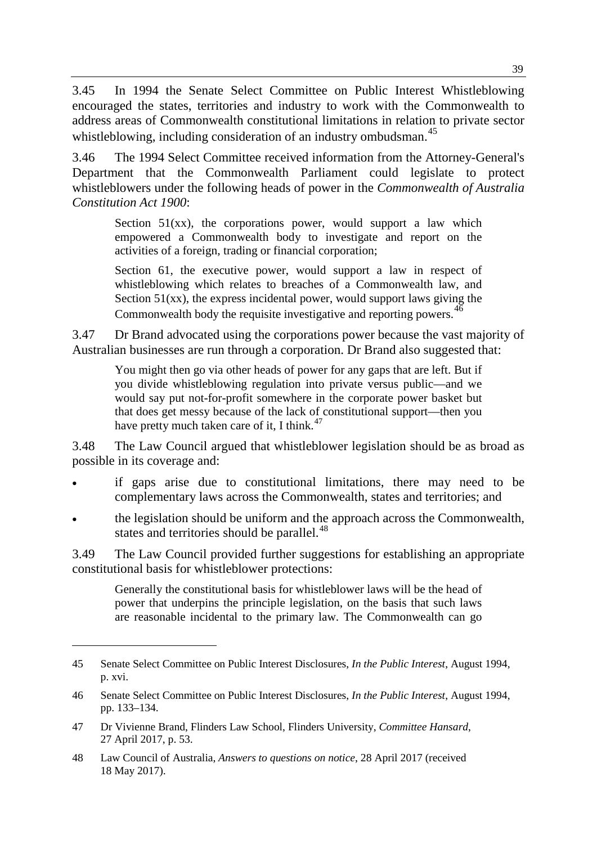3.45 In 1994 the Senate Select Committee on Public Interest Whistleblowing encouraged the states, territories and industry to work with the Commonwealth to address areas of Commonwealth constitutional limitations in relation to private sector whistleblowing, including consideration of an industry ombudsman.<sup>[45](#page-12-0)</sup>

3.46 The 1994 Select Committee received information from the Attorney-General's Department that the Commonwealth Parliament could legislate to protect whistleblowers under the following heads of power in the *Commonwealth of Australia Constitution Act 1900*:

Section  $51(xx)$ , the corporations power, would support a law which empowered a Commonwealth body to investigate and report on the activities of a foreign, trading or financial corporation;

Section 61, the executive power, would support a law in respect of whistleblowing which relates to breaches of a Commonwealth law, and Section  $51(xx)$ , the express incidental power, would support laws giving the Commonwealth body the requisite investigative and reporting powers.<sup>[46](#page-12-1)</sup>

3.47 Dr Brand advocated using the corporations power because the vast majority of Australian businesses are run through a corporation. Dr Brand also suggested that:

You might then go via other heads of power for any gaps that are left. But if you divide whistleblowing regulation into private versus public—and we would say put not-for-profit somewhere in the corporate power basket but that does get messy because of the lack of constitutional support—then you have pretty much taken care of it, I think. $47$ 

3.48 The Law Council argued that whistleblower legislation should be as broad as possible in its coverage and:

- if gaps arise due to constitutional limitations, there may need to be complementary laws across the Commonwealth, states and territories; and
- the legislation should be uniform and the approach across the Commonwealth, states and territories should be parallel.<sup>[48](#page-12-3)</sup>

3.49 The Law Council provided further suggestions for establishing an appropriate constitutional basis for whistleblower protections:

Generally the constitutional basis for whistleblower laws will be the head of power that underpins the principle legislation, on the basis that such laws are reasonable incidental to the primary law. The Commonwealth can go

<span id="page-12-0"></span><sup>45</sup> Senate Select Committee on Public Interest Disclosures, *In the Public Interest*, August 1994, p. xvi.

<span id="page-12-1"></span><sup>46</sup> Senate Select Committee on Public Interest Disclosures, *In the Public Interest*, August 1994, pp. 133–134.

<span id="page-12-2"></span><sup>47</sup> Dr Vivienne Brand, Flinders Law School, Flinders University, *Committee Hansard*, 27 April 2017, p. 53.

<span id="page-12-3"></span><sup>48</sup> Law Council of Australia, *Answers to questions on notice*, 28 April 2017 (received 18 May 2017).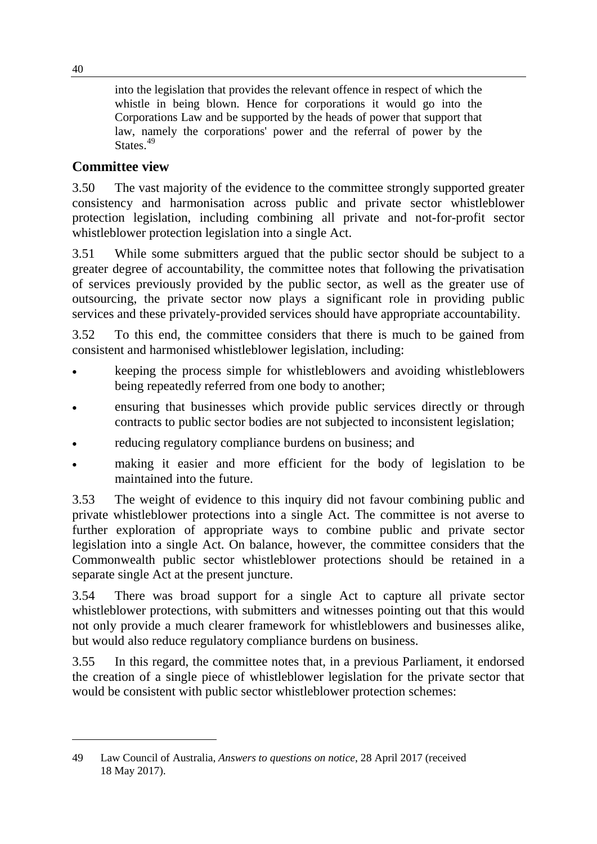into the legislation that provides the relevant offence in respect of which the whistle in being blown. Hence for corporations it would go into the Corporations Law and be supported by the heads of power that support that law, namely the corporations' power and the referral of power by the States.<sup>[49](#page-13-0)</sup>

# **Committee view**

3.50 The vast majority of the evidence to the committee strongly supported greater consistency and harmonisation across public and private sector whistleblower protection legislation, including combining all private and not-for-profit sector whistleblower protection legislation into a single Act.

3.51 While some submitters argued that the public sector should be subject to a greater degree of accountability, the committee notes that following the privatisation of services previously provided by the public sector, as well as the greater use of outsourcing, the private sector now plays a significant role in providing public services and these privately-provided services should have appropriate accountability.

3.52 To this end, the committee considers that there is much to be gained from consistent and harmonised whistleblower legislation, including:

- keeping the process simple for whistleblowers and avoiding whistleblowers being repeatedly referred from one body to another;
- ensuring that businesses which provide public services directly or through contracts to public sector bodies are not subjected to inconsistent legislation;
- reducing regulatory compliance burdens on business; and
- making it easier and more efficient for the body of legislation to be maintained into the future.

3.53 The weight of evidence to this inquiry did not favour combining public and private whistleblower protections into a single Act. The committee is not averse to further exploration of appropriate ways to combine public and private sector legislation into a single Act. On balance, however, the committee considers that the Commonwealth public sector whistleblower protections should be retained in a separate single Act at the present juncture.

3.54 There was broad support for a single Act to capture all private sector whistleblower protections, with submitters and witnesses pointing out that this would not only provide a much clearer framework for whistleblowers and businesses alike, but would also reduce regulatory compliance burdens on business.

3.55 In this regard, the committee notes that, in a previous Parliament, it endorsed the creation of a single piece of whistleblower legislation for the private sector that would be consistent with public sector whistleblower protection schemes:

<span id="page-13-0"></span><sup>49</sup> Law Council of Australia, *Answers to questions on notice*, 28 April 2017 (received 18 May 2017).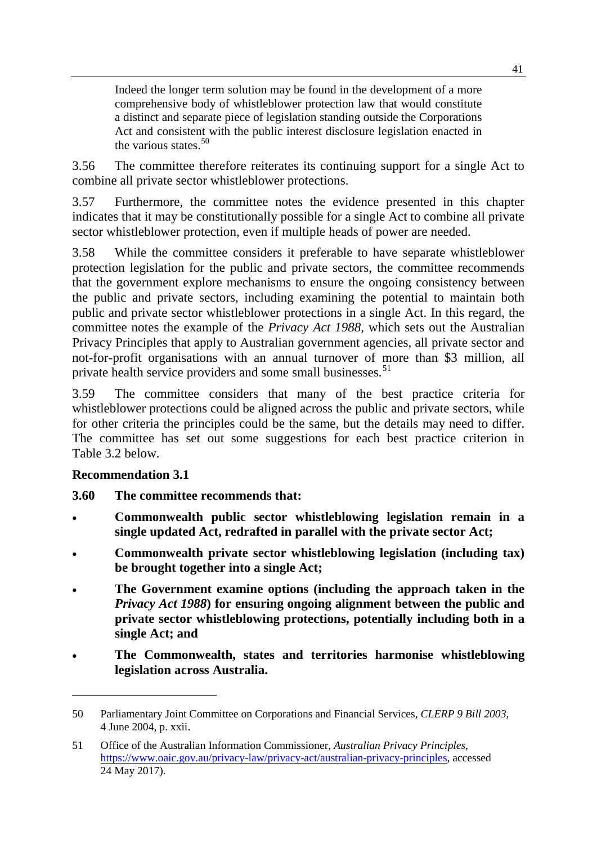Indeed the longer term solution may be found in the development of a more comprehensive body of whistleblower protection law that would constitute a distinct and separate piece of legislation standing outside the Corporations Act and consistent with the public interest disclosure legislation enacted in the various states.  $50$ 

3.56 The committee therefore reiterates its continuing support for a single Act to combine all private sector whistleblower protections.

3.57 Furthermore, the committee notes the evidence presented in this chapter indicates that it may be constitutionally possible for a single Act to combine all private sector whistleblower protection, even if multiple heads of power are needed.

3.58 While the committee considers it preferable to have separate whistleblower protection legislation for the public and private sectors, the committee recommends that the government explore mechanisms to ensure the ongoing consistency between the public and private sectors, including examining the potential to maintain both public and private sector whistleblower protections in a single Act. In this regard, the committee notes the example of the *Privacy Act 1988,* which sets out the Australian Privacy Principles that apply to Australian government agencies, all private sector and not-for-profit organisations with an annual turnover of more than \$3 million, all private health service providers and some small businesses.<sup>[51](#page-14-1)</sup>

3.59 The committee considers that many of the best practice criteria for whistleblower protections could be aligned across the public and private sectors, while for other criteria the principles could be the same, but the details may need to differ. The committee has set out some suggestions for each best practice criterion in Table 3.2 below.

# **Recommendation 3.1**

- **3.60 The committee recommends that:**
- **Commonwealth public sector whistleblowing legislation remain in a single updated Act, redrafted in parallel with the private sector Act;**
- **Commonwealth private sector whistleblowing legislation (including tax) be brought together into a single Act;**
- **The Government examine options (including the approach taken in the**  *Privacy Act 1988***) for ensuring ongoing alignment between the public and private sector whistleblowing protections, potentially including both in a single Act; and**
- **The Commonwealth, states and territories harmonise whistleblowing legislation across Australia.**

<span id="page-14-0"></span><sup>50</sup> Parliamentary Joint Committee on Corporations and Financial Services, *CLERP 9 Bill 2003,*  4 June 2004, p. xxii.

<span id="page-14-1"></span><sup>51</sup> Office of the Australian Information Commissioner, *Australian Privacy Principles*, [https://www.oaic.gov.au/privacy-law/privacy-act/australian-privacy-principles,](https://www.oaic.gov.au/privacy-law/privacy-act/australian-privacy-principles) accessed 24 May 2017).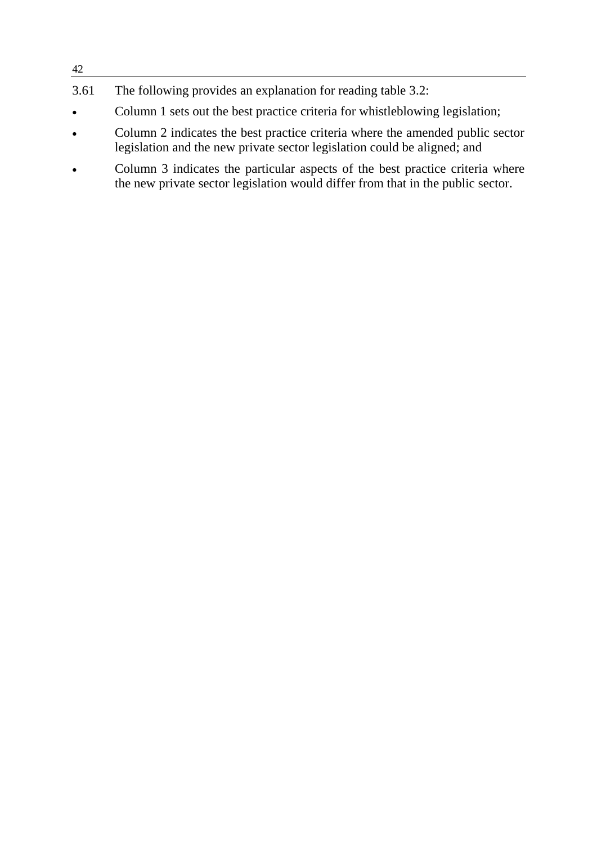# 3.61 The following provides an explanation for reading table 3.2:

42

- Column 1 sets out the best practice criteria for whistleblowing legislation;
- Column 2 indicates the best practice criteria where the amended public sector legislation and the new private sector legislation could be aligned; and
- Column 3 indicates the particular aspects of the best practice criteria where the new private sector legislation would differ from that in the public sector.